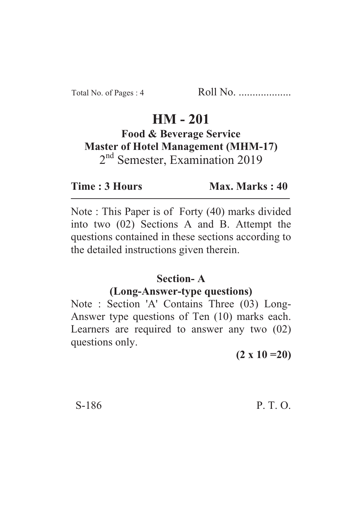# **HM - 201**

## **Food & Beverage Service Master of Hotel Management (MHM-17)** 2<sup>nd</sup> Semester, Examination 2019

**Time : 3 Hours** Max. Marks : 40

Note : This Paper is of Forty (40) marks divided into two (02) Sections A and B. Attempt the questions contained in these sections according to the detailed instructions given therein.

#### **Section- A**

#### **(Long-Answer-type questions)**

Note : Section 'A' Contains Three (03) Long-Answer type questions of Ten (10) marks each. Learners are required to answer any two (02) questions only.

**(2 x 10 =20)**

S-186 P. T. O.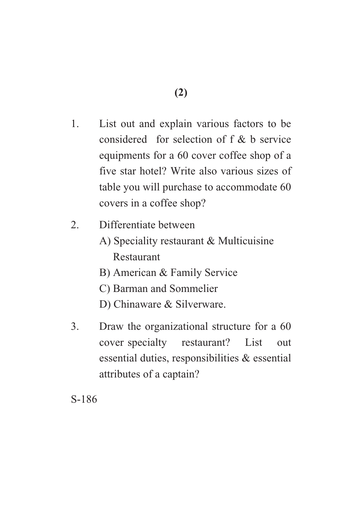- 1. List out and explain various factors to be considered for selection of f & b service equipments for a 60 cover coffee shop of a five star hotel? Write also various sizes of table you will purchase to accommodate 60 covers in a coffee shop?
- 2. Differentiate between
	- A) Speciality restaurant & Multicuisine Restaurant
	- B) American & Family Service
	- C) Barman and Sommelier
	- D) Chinaware & Silverware.
- 3. Draw the organizational structure for a 60 cover specialty restaurant? List out essential duties, responsibilities & essential attributes of a captain?

S-186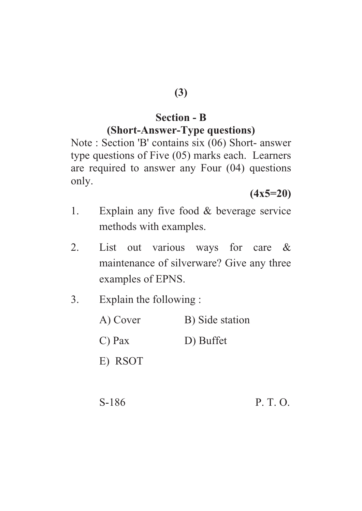## **(3)**

### **Section - B (Short-Answer-Type questions)**

Note : Section 'B' contains six (06) Short- answer type questions of Five (05) marks each. Learners are required to answer any Four (04) questions only.

**(4x5=20)**

- 1. Explain any five food & beverage service methods with examples.
- 2. List out various ways for care & maintenance of silverware? Give any three examples of EPNS.
- 3. Explain the following :
	- A) Cover B) Side station
	- C) Pax D) Buffet
	- E) RSOT
	- S-186 P. T. O.